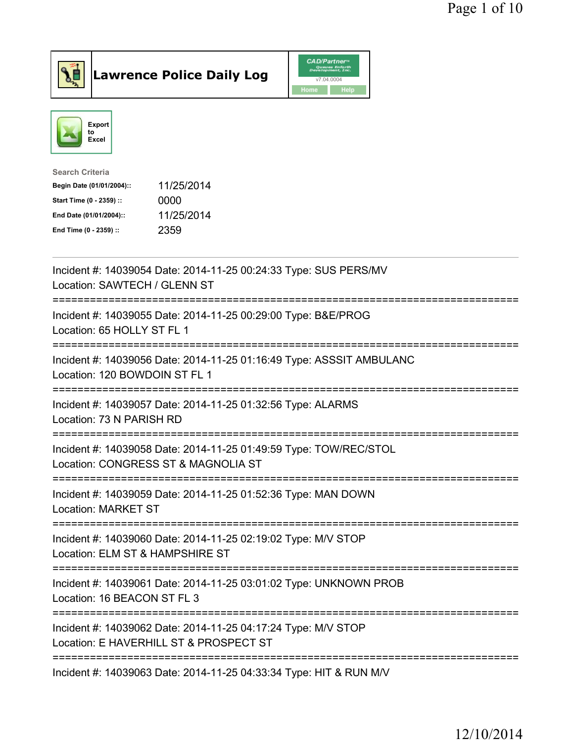



| Search Criteria           |            |
|---------------------------|------------|
| Begin Date (01/01/2004):: | 11/25/2014 |
| Start Time (0 - 2359) ::  | 0000       |
| End Date (01/01/2004)::   | 11/25/2014 |
| End Time (0 - 2359) ::    | 2359       |
|                           |            |

| Incident #: 14039054 Date: 2014-11-25 00:24:33 Type: SUS PERS/MV<br>Location: SAWTECH / GLENN ST                                              |
|-----------------------------------------------------------------------------------------------------------------------------------------------|
| Incident #: 14039055 Date: 2014-11-25 00:29:00 Type: B&E/PROG<br>Location: 65 HOLLY ST FL 1                                                   |
| Incident #: 14039056 Date: 2014-11-25 01:16:49 Type: ASSSIT AMBULANC<br>Location: 120 BOWDOIN ST FL 1                                         |
| Incident #: 14039057 Date: 2014-11-25 01:32:56 Type: ALARMS<br>Location: 73 N PARISH RD<br>=====================================              |
| Incident #: 14039058 Date: 2014-11-25 01:49:59 Type: TOW/REC/STOL<br>Location: CONGRESS ST & MAGNOLIA ST<br>:================================ |
| Incident #: 14039059 Date: 2014-11-25 01:52:36 Type: MAN DOWN<br><b>Location: MARKET ST</b>                                                   |
| Incident #: 14039060 Date: 2014-11-25 02:19:02 Type: M/V STOP<br>Location: ELM ST & HAMPSHIRE ST                                              |
| Incident #: 14039061 Date: 2014-11-25 03:01:02 Type: UNKNOWN PROB<br>Location: 16 BEACON ST FL 3                                              |
| Incident #: 14039062 Date: 2014-11-25 04:17:24 Type: M/V STOP<br>Location: E HAVERHILL ST & PROSPECT ST                                       |
| -------------------------------<br>Incident #: 14039063 Date: 2014-11-25 04:33:34 Type: HIT & RUN M/V                                         |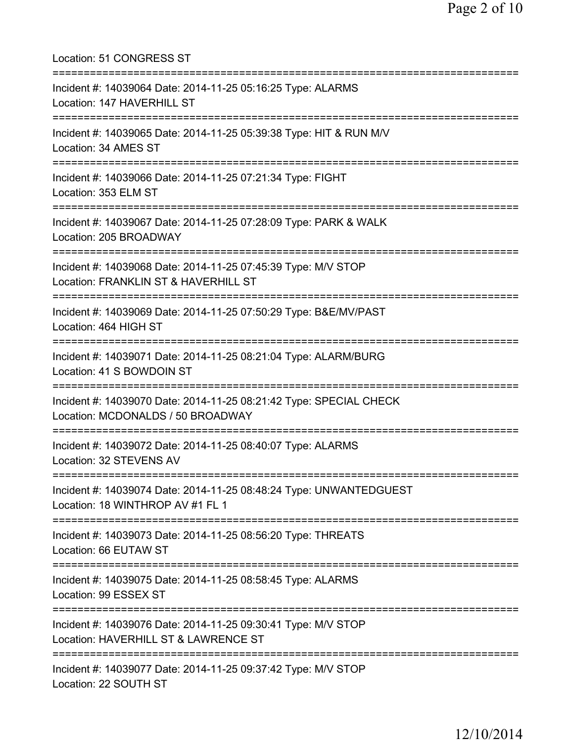| Location: 51 CONGRESS ST                                                                                                                  |
|-------------------------------------------------------------------------------------------------------------------------------------------|
| Incident #: 14039064 Date: 2014-11-25 05:16:25 Type: ALARMS<br>Location: 147 HAVERHILL ST                                                 |
| Incident #: 14039065 Date: 2014-11-25 05:39:38 Type: HIT & RUN M/V<br>Location: 34 AMES ST                                                |
| ==========================<br>Incident #: 14039066 Date: 2014-11-25 07:21:34 Type: FIGHT<br>Location: 353 ELM ST                          |
| ===============================<br>Incident #: 14039067 Date: 2014-11-25 07:28:09 Type: PARK & WALK<br>Location: 205 BROADWAY             |
| ;===============================<br>Incident #: 14039068 Date: 2014-11-25 07:45:39 Type: M/V STOP<br>Location: FRANKLIN ST & HAVERHILL ST |
| Incident #: 14039069 Date: 2014-11-25 07:50:29 Type: B&E/MV/PAST<br>Location: 464 HIGH ST                                                 |
| Incident #: 14039071 Date: 2014-11-25 08:21:04 Type: ALARM/BURG<br>Location: 41 S BOWDOIN ST                                              |
| Incident #: 14039070 Date: 2014-11-25 08:21:42 Type: SPECIAL CHECK<br>Location: MCDONALDS / 50 BROADWAY                                   |
| Incident #: 14039072 Date: 2014-11-25 08:40:07 Type: ALARMS<br>Location: 32 STEVENS AV                                                    |
| Incident #: 14039074 Date: 2014-11-25 08:48:24 Type: UNWANTEDGUEST<br>Location: 18 WINTHROP AV #1 FL 1                                    |
| Incident #: 14039073 Date: 2014-11-25 08:56:20 Type: THREATS<br>Location: 66 EUTAW ST                                                     |
| Incident #: 14039075 Date: 2014-11-25 08:58:45 Type: ALARMS<br>Location: 99 ESSEX ST                                                      |
| Incident #: 14039076 Date: 2014-11-25 09:30:41 Type: M/V STOP<br>Location: HAVERHILL ST & LAWRENCE ST                                     |
| Incident #: 14039077 Date: 2014-11-25 09:37:42 Type: M/V STOP<br>Location: 22 SOUTH ST                                                    |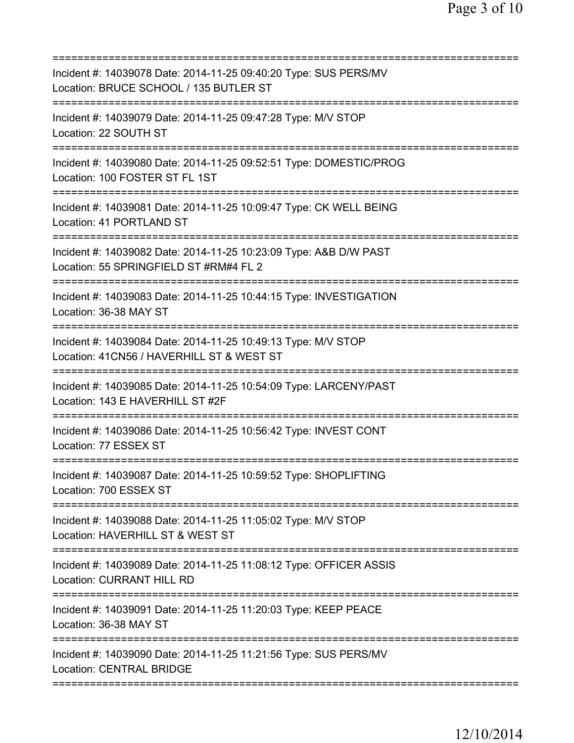| Incident #: 14039078 Date: 2014-11-25 09:40:20 Type: SUS PERS/MV<br>Location: BRUCE SCHOOL / 135 BUTLER ST            |
|-----------------------------------------------------------------------------------------------------------------------|
| Incident #: 14039079 Date: 2014-11-25 09:47:28 Type: M/V STOP<br>Location: 22 SOUTH ST                                |
| Incident #: 14039080 Date: 2014-11-25 09:52:51 Type: DOMESTIC/PROG<br>Location: 100 FOSTER ST FL 1ST                  |
| Incident #: 14039081 Date: 2014-11-25 10:09:47 Type: CK WELL BEING<br>Location: 41 PORTLAND ST                        |
| Incident #: 14039082 Date: 2014-11-25 10:23:09 Type: A&B D/W PAST<br>Location: 55 SPRINGFIELD ST #RM#4 FL 2           |
| Incident #: 14039083 Date: 2014-11-25 10:44:15 Type: INVESTIGATION<br>Location: 36-38 MAY ST                          |
| Incident #: 14039084 Date: 2014-11-25 10:49:13 Type: M/V STOP<br>Location: 41CN56 / HAVERHILL ST & WEST ST            |
| Incident #: 14039085 Date: 2014-11-25 10:54:09 Type: LARCENY/PAST<br>Location: 143 E HAVERHILL ST #2F<br>============ |
| Incident #: 14039086 Date: 2014-11-25 10:56:42 Type: INVEST CONT<br>Location: 77 ESSEX ST                             |
| Incident #: 14039087 Date: 2014-11-25 10:59:52 Type: SHOPLIFTING<br>Location: 700 ESSEX ST                            |
| Incident #: 14039088 Date: 2014-11-25 11:05:02 Type: M/V STOP<br>Location: HAVERHILL ST & WEST ST                     |
| Incident #: 14039089 Date: 2014-11-25 11:08:12 Type: OFFICER ASSIS<br><b>Location: CURRANT HILL RD</b>                |
| Incident #: 14039091 Date: 2014-11-25 11:20:03 Type: KEEP PEACE<br>Location: 36-38 MAY ST                             |
| Incident #: 14039090 Date: 2014-11-25 11:21:56 Type: SUS PERS/MV<br><b>Location: CENTRAL BRIDGE</b>                   |
|                                                                                                                       |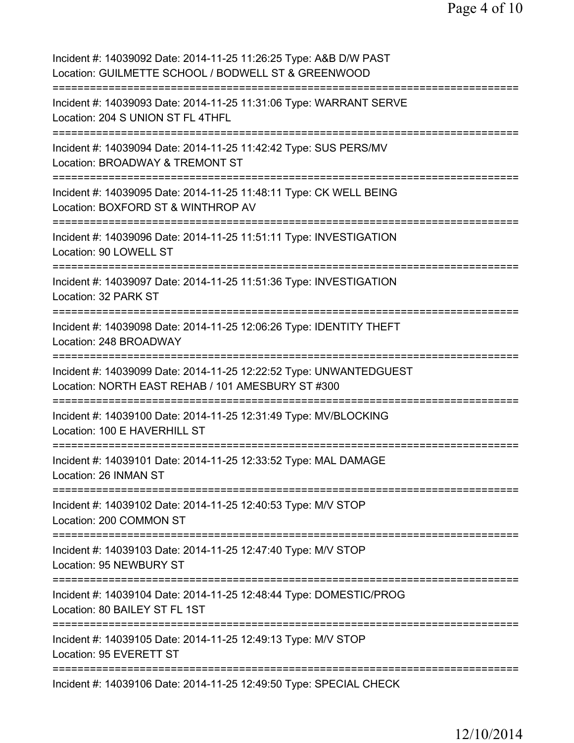| Incident #: 14039092 Date: 2014-11-25 11:26:25 Type: A&B D/W PAST<br>Location: GUILMETTE SCHOOL / BODWELL ST & GREENWOOD          |
|-----------------------------------------------------------------------------------------------------------------------------------|
| Incident #: 14039093 Date: 2014-11-25 11:31:06 Type: WARRANT SERVE<br>Location: 204 S UNION ST FL 4THFL                           |
| Incident #: 14039094 Date: 2014-11-25 11:42:42 Type: SUS PERS/MV<br>Location: BROADWAY & TREMONT ST                               |
| Incident #: 14039095 Date: 2014-11-25 11:48:11 Type: CK WELL BEING<br>Location: BOXFORD ST & WINTHROP AV                          |
| Incident #: 14039096 Date: 2014-11-25 11:51:11 Type: INVESTIGATION<br>Location: 90 LOWELL ST<br>================================= |
| Incident #: 14039097 Date: 2014-11-25 11:51:36 Type: INVESTIGATION<br>Location: 32 PARK ST                                        |
| Incident #: 14039098 Date: 2014-11-25 12:06:26 Type: IDENTITY THEFT<br>Location: 248 BROADWAY                                     |
| Incident #: 14039099 Date: 2014-11-25 12:22:52 Type: UNWANTEDGUEST<br>Location: NORTH EAST REHAB / 101 AMESBURY ST #300           |
| Incident #: 14039100 Date: 2014-11-25 12:31:49 Type: MV/BLOCKING<br>Location: 100 E HAVERHILL ST<br>=================             |
| Incident #: 14039101 Date: 2014-11-25 12:33:52 Type: MAL DAMAGE<br>Location: 26 INMAN ST                                          |
| Incident #: 14039102 Date: 2014-11-25 12:40:53 Type: M/V STOP<br>Location: 200 COMMON ST                                          |
| =============<br>Incident #: 14039103 Date: 2014-11-25 12:47:40 Type: M/V STOP<br>Location: 95 NEWBURY ST                         |
| Incident #: 14039104 Date: 2014-11-25 12:48:44 Type: DOMESTIC/PROG<br>Location: 80 BAILEY ST FL 1ST                               |
| Incident #: 14039105 Date: 2014-11-25 12:49:13 Type: M/V STOP<br>Location: 95 EVERETT ST                                          |
| =================<br>Incident #: 14039106 Date: 2014-11-25 12:49:50 Type: SPECIAL CHECK                                           |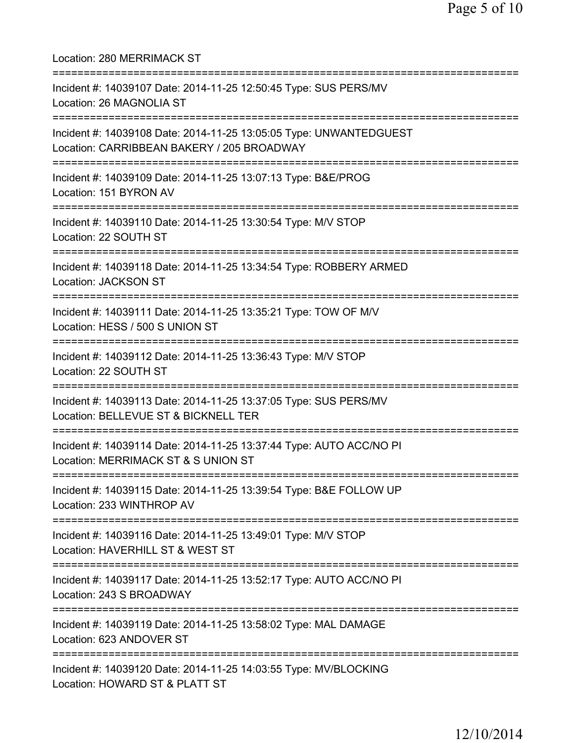Location: 280 MERRIMACK ST =========================================================================== Incident #: 14039107 Date: 2014-11-25 12:50:45 Type: SUS PERS/MV Location: 26 MAGNOLIA ST =========================================================================== Incident #: 14039108 Date: 2014-11-25 13:05:05 Type: UNWANTEDGUEST Location: CARRIBBEAN BAKERY / 205 BROADWAY =========================================================================== Incident #: 14039109 Date: 2014-11-25 13:07:13 Type: B&E/PROG Location: 151 BYRON AV =========================================================================== Incident #: 14039110 Date: 2014-11-25 13:30:54 Type: M/V STOP Location: 22 SOUTH ST =========================================================================== Incident #: 14039118 Date: 2014-11-25 13:34:54 Type: ROBBERY ARMED Location: JACKSON ST =========================================================================== Incident #: 14039111 Date: 2014-11-25 13:35:21 Type: TOW OF M/V Location: HESS / 500 S UNION ST =========================================================================== Incident #: 14039112 Date: 2014-11-25 13:36:43 Type: M/V STOP Location: 22 SOUTH ST =========================================================================== Incident #: 14039113 Date: 2014-11-25 13:37:05 Type: SUS PERS/MV Location: BELLEVUE ST & BICKNELL TER =========================================================================== Incident #: 14039114 Date: 2014-11-25 13:37:44 Type: AUTO ACC/NO PI Location: MERRIMACK ST & S UNION ST =========================================================================== Incident #: 14039115 Date: 2014-11-25 13:39:54 Type: B&E FOLLOW UP Location: 233 WINTHROP AV =========================================================================== Incident #: 14039116 Date: 2014-11-25 13:49:01 Type: M/V STOP Location: HAVERHILL ST & WEST ST =========================================================================== Incident #: 14039117 Date: 2014-11-25 13:52:17 Type: AUTO ACC/NO PI Location: 243 S BROADWAY =========================================================================== Incident #: 14039119 Date: 2014-11-25 13:58:02 Type: MAL DAMAGE Location: 623 ANDOVER ST =========================================================================== Incident #: 14039120 Date: 2014-11-25 14:03:55 Type: MV/BLOCKING Location: HOWARD ST & PLATT ST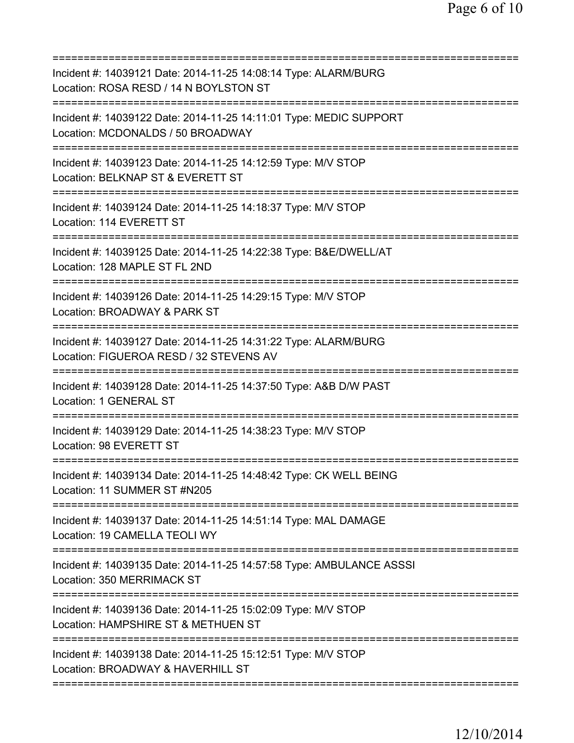| Incident #: 14039121 Date: 2014-11-25 14:08:14 Type: ALARM/BURG<br>Location: ROSA RESD / 14 N BOYLSTON ST                                     |
|-----------------------------------------------------------------------------------------------------------------------------------------------|
| Incident #: 14039122 Date: 2014-11-25 14:11:01 Type: MEDIC SUPPORT<br>Location: MCDONALDS / 50 BROADWAY                                       |
| Incident #: 14039123 Date: 2014-11-25 14:12:59 Type: M/V STOP<br>Location: BELKNAP ST & EVERETT ST                                            |
| Incident #: 14039124 Date: 2014-11-25 14:18:37 Type: M/V STOP<br>Location: 114 EVERETT ST                                                     |
| Incident #: 14039125 Date: 2014-11-25 14:22:38 Type: B&E/DWELL/AT<br>Location: 128 MAPLE ST FL 2ND                                            |
| Incident #: 14039126 Date: 2014-11-25 14:29:15 Type: M/V STOP<br>Location: BROADWAY & PARK ST<br>=========================<br>:===========    |
| Incident #: 14039127 Date: 2014-11-25 14:31:22 Type: ALARM/BURG<br>Location: FIGUEROA RESD / 32 STEVENS AV<br>=============================== |
| Incident #: 14039128 Date: 2014-11-25 14:37:50 Type: A&B D/W PAST<br><b>Location: 1 GENERAL ST</b>                                            |
| Incident #: 14039129 Date: 2014-11-25 14:38:23 Type: M/V STOP<br>Location: 98 EVERETT ST                                                      |
| Incident #: 14039134 Date: 2014-11-25 14:48:42 Type: CK WELL BEING<br>Location: 11 SUMMER ST #N205                                            |
| Incident #: 14039137 Date: 2014-11-25 14:51:14 Type: MAL DAMAGE<br>Location: 19 CAMELLA TEOLI WY                                              |
| Incident #: 14039135 Date: 2014-11-25 14:57:58 Type: AMBULANCE ASSSI<br>Location: 350 MERRIMACK ST                                            |
| Incident #: 14039136 Date: 2014-11-25 15:02:09 Type: M/V STOP<br>Location: HAMPSHIRE ST & METHUEN ST                                          |
| Incident #: 14039138 Date: 2014-11-25 15:12:51 Type: M/V STOP<br>Location: BROADWAY & HAVERHILL ST                                            |
|                                                                                                                                               |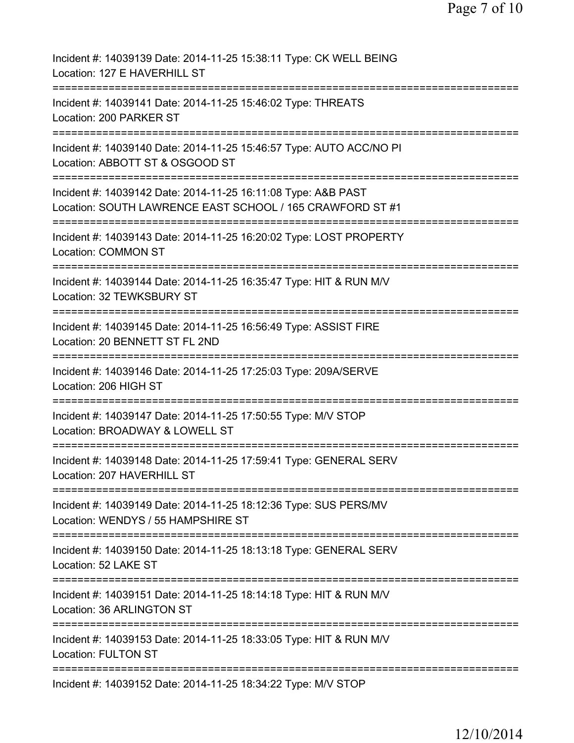| Incident #: 14039139 Date: 2014-11-25 15:38:11 Type: CK WELL BEING<br>Location: 127 E HAVERHILL ST                         |
|----------------------------------------------------------------------------------------------------------------------------|
| Incident #: 14039141 Date: 2014-11-25 15:46:02 Type: THREATS<br>Location: 200 PARKER ST                                    |
| Incident #: 14039140 Date: 2014-11-25 15:46:57 Type: AUTO ACC/NO PI<br>Location: ABBOTT ST & OSGOOD ST                     |
| Incident #: 14039142 Date: 2014-11-25 16:11:08 Type: A&B PAST<br>Location: SOUTH LAWRENCE EAST SCHOOL / 165 CRAWFORD ST #1 |
| Incident #: 14039143 Date: 2014-11-25 16:20:02 Type: LOST PROPERTY<br><b>Location: COMMON ST</b>                           |
| Incident #: 14039144 Date: 2014-11-25 16:35:47 Type: HIT & RUN M/V<br>Location: 32 TEWKSBURY ST                            |
| Incident #: 14039145 Date: 2014-11-25 16:56:49 Type: ASSIST FIRE<br>Location: 20 BENNETT ST FL 2ND                         |
| Incident #: 14039146 Date: 2014-11-25 17:25:03 Type: 209A/SERVE<br>Location: 206 HIGH ST                                   |
| Incident #: 14039147 Date: 2014-11-25 17:50:55 Type: M/V STOP<br>Location: BROADWAY & LOWELL ST                            |
| ------------<br>Incident #: 14039148 Date: 2014-11-25 17:59:41 Type: GENERAL SERV<br>Location: 207 HAVERHILL ST            |
| Incident #: 14039149 Date: 2014-11-25 18:12:36 Type: SUS PERS/MV<br>Location: WENDYS / 55 HAMPSHIRE ST                     |
| Incident #: 14039150 Date: 2014-11-25 18:13:18 Type: GENERAL SERV<br>Location: 52 LAKE ST                                  |
| Incident #: 14039151 Date: 2014-11-25 18:14:18 Type: HIT & RUN M/V<br>Location: 36 ARLINGTON ST                            |
| Incident #: 14039153 Date: 2014-11-25 18:33:05 Type: HIT & RUN M/V<br><b>Location: FULTON ST</b>                           |
| Incident #: 14039152 Date: 2014-11-25 18:34:22 Type: M/V STOP                                                              |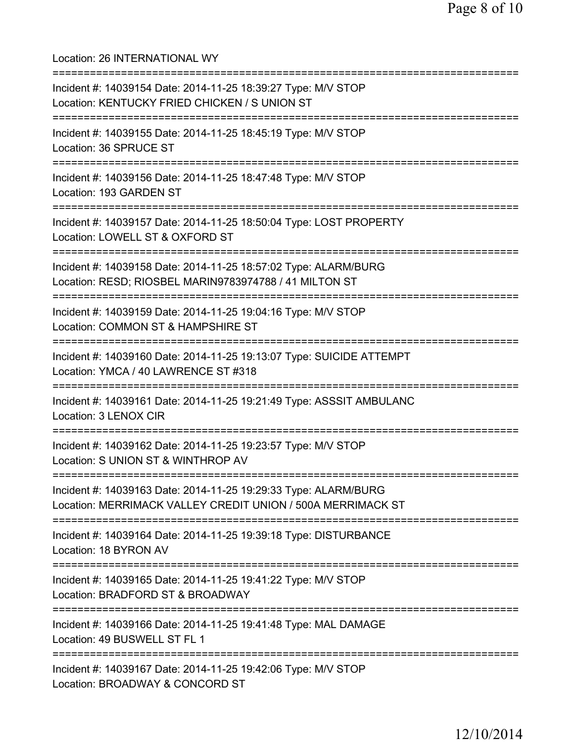Location: 26 INTERNATIONAL WY =========================================================================== Incident #: 14039154 Date: 2014-11-25 18:39:27 Type: M/V STOP Location: KENTUCKY FRIED CHICKEN / S UNION ST =========================================================================== Incident #: 14039155 Date: 2014-11-25 18:45:19 Type: M/V STOP Location: 36 SPRUCE ST =========================================================================== Incident #: 14039156 Date: 2014-11-25 18:47:48 Type: M/V STOP Location: 193 GARDEN ST =========================================================================== Incident #: 14039157 Date: 2014-11-25 18:50:04 Type: LOST PROPERTY Location: LOWELL ST & OXFORD ST =========================================================================== Incident #: 14039158 Date: 2014-11-25 18:57:02 Type: ALARM/BURG Location: RESD; RIOSBEL MARIN9783974788 / 41 MILTON ST =========================================================================== Incident #: 14039159 Date: 2014-11-25 19:04:16 Type: M/V STOP Location: COMMON ST & HAMPSHIRE ST =========================================================================== Incident #: 14039160 Date: 2014-11-25 19:13:07 Type: SUICIDE ATTEMPT Location: YMCA / 40 LAWRENCE ST #318 =========================================================================== Incident #: 14039161 Date: 2014-11-25 19:21:49 Type: ASSSIT AMBULANC Location: 3 LENOX CIR =========================================================================== Incident #: 14039162 Date: 2014-11-25 19:23:57 Type: M/V STOP Location: S UNION ST & WINTHROP AV =========================================================================== Incident #: 14039163 Date: 2014-11-25 19:29:33 Type: ALARM/BURG Location: MERRIMACK VALLEY CREDIT UNION / 500A MERRIMACK ST =========================================================================== Incident #: 14039164 Date: 2014-11-25 19:39:18 Type: DISTURBANCE Location: 18 BYRON AV =========================================================================== Incident #: 14039165 Date: 2014-11-25 19:41:22 Type: M/V STOP Location: BRADFORD ST & BROADWAY =========================================================================== Incident #: 14039166 Date: 2014-11-25 19:41:48 Type: MAL DAMAGE Location: 49 BUSWELL ST FL 1 =========================================================================== Incident #: 14039167 Date: 2014-11-25 19:42:06 Type: M/V STOP Location: BROADWAY & CONCORD ST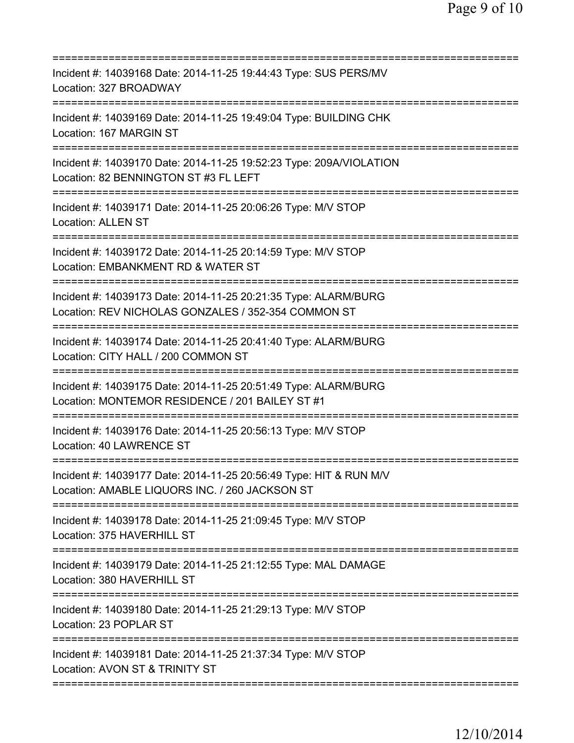| Incident #: 14039168 Date: 2014-11-25 19:44:43 Type: SUS PERS/MV<br>Location: 327 BROADWAY                                                                |
|-----------------------------------------------------------------------------------------------------------------------------------------------------------|
| Incident #: 14039169 Date: 2014-11-25 19:49:04 Type: BUILDING CHK<br>Location: 167 MARGIN ST                                                              |
| Incident #: 14039170 Date: 2014-11-25 19:52:23 Type: 209A/VIOLATION<br>Location: 82 BENNINGTON ST #3 FL LEFT                                              |
| Incident #: 14039171 Date: 2014-11-25 20:06:26 Type: M/V STOP<br><b>Location: ALLEN ST</b>                                                                |
| Incident #: 14039172 Date: 2014-11-25 20:14:59 Type: M/V STOP<br>Location: EMBANKMENT RD & WATER ST                                                       |
| ===============================<br>Incident #: 14039173 Date: 2014-11-25 20:21:35 Type: ALARM/BURG<br>Location: REV NICHOLAS GONZALES / 352-354 COMMON ST |
| ================================<br>Incident #: 14039174 Date: 2014-11-25 20:41:40 Type: ALARM/BURG<br>Location: CITY HALL / 200 COMMON ST                |
| ==========================<br>Incident #: 14039175 Date: 2014-11-25 20:51:49 Type: ALARM/BURG<br>Location: MONTEMOR RESIDENCE / 201 BAILEY ST #1          |
| Incident #: 14039176 Date: 2014-11-25 20:56:13 Type: M/V STOP<br>Location: 40 LAWRENCE ST                                                                 |
| Incident #: 14039177 Date: 2014-11-25 20:56:49 Type: HIT & RUN M/V<br>Location: AMABLE LIQUORS INC. / 260 JACKSON ST                                      |
| Incident #: 14039178 Date: 2014-11-25 21:09:45 Type: M/V STOP<br>Location: 375 HAVERHILL ST                                                               |
| Incident #: 14039179 Date: 2014-11-25 21:12:55 Type: MAL DAMAGE<br>Location: 380 HAVERHILL ST                                                             |
| Incident #: 14039180 Date: 2014-11-25 21:29:13 Type: M/V STOP<br>Location: 23 POPLAR ST                                                                   |
| Incident #: 14039181 Date: 2014-11-25 21:37:34 Type: M/V STOP<br>Location: AVON ST & TRINITY ST                                                           |
|                                                                                                                                                           |